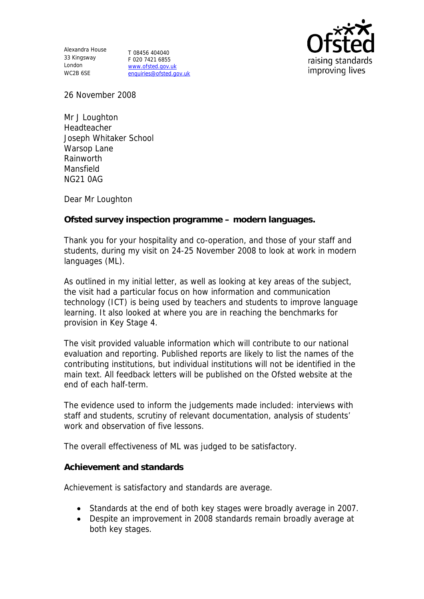Alexandra House 33 Kingsway T 08456 404040 London WC2B 6SE

F 020 7421 6855 www.ofsted.gov.uk enquiries@ofsted.gov.uk



26 November 2008

Mr J Loughton Headteacher Joseph Whitaker School Warsop Lane Rainworth Mansfield NG21 0AG

Dear Mr Loughton

**Ofsted survey inspection programme – modern languages.**

Thank you for your hospitality and co-operation, and those of your staff and students, during my visit on 24-25 November 2008 to look at work in modern languages (ML).

As outlined in my initial letter, as well as looking at key areas of the subject, the visit had a particular focus on how information and communication technology (ICT) is being used by teachers and students to improve language learning. It also looked at where you are in reaching the benchmarks for provision in Key Stage 4.

The visit provided valuable information which will contribute to our national evaluation and reporting. Published reports are likely to list the names of the contributing institutions, but individual institutions will not be identified in the main text. All feedback letters will be published on the Ofsted website at the end of each half-term.

The evidence used to inform the judgements made included: interviews with staff and students, scrutiny of relevant documentation, analysis of students' work and observation of five lessons.

The overall effectiveness of ML was judged to be satisfactory.

**Achievement and standards**

Achievement is satisfactory and standards are average.

- Standards at the end of both key stages were broadly average in 2007.
- Despite an improvement in 2008 standards remain broadly average at both key stages.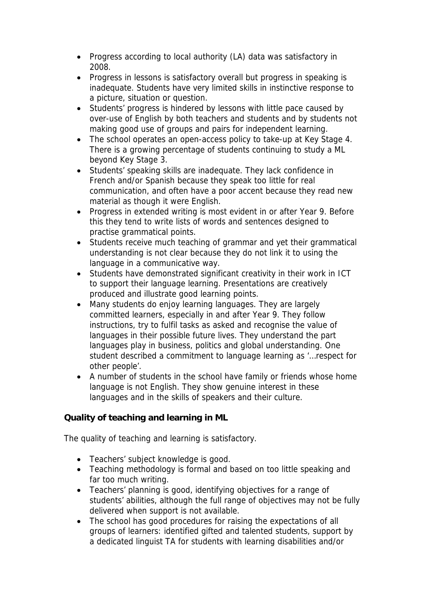- Progress according to local authority (LA) data was satisfactory in 2008.
- Progress in lessons is satisfactory overall but progress in speaking is inadequate. Students have very limited skills in instinctive response to a picture, situation or question.
- Students' progress is hindered by lessons with little pace caused by over-use of English by both teachers and students and by students not making good use of groups and pairs for independent learning.
- The school operates an open-access policy to take-up at Key Stage 4. There is a growing percentage of students continuing to study a ML beyond Key Stage 3.
- Students' speaking skills are inadequate. They lack confidence in French and/or Spanish because they speak too little for real communication, and often have a poor accent because they read new material as though it were English.
- Progress in extended writing is most evident in or after Year 9. Before this they tend to write lists of words and sentences designed to practise grammatical points.
- Students receive much teaching of grammar and yet their grammatical understanding is not clear because they do not link it to using the language in a communicative way.
- Students have demonstrated significant creativity in their work in ICT to support their language learning. Presentations are creatively produced and illustrate good learning points.
- Many students do enjoy learning languages. They are largely committed learners, especially in and after Year 9. They follow instructions, try to fulfil tasks as asked and recognise the value of languages in their possible future lives. They understand the part languages play in business, politics and global understanding. One student described a commitment to language learning as '…respect for other people'.
- A number of students in the school have family or friends whose home language is not English. They show genuine interest in these languages and in the skills of speakers and their culture.

**Quality of teaching and learning in ML**

The quality of teaching and learning is satisfactory.

- Teachers' subject knowledge is good.
- Teaching methodology is formal and based on too little speaking and far too much writing.
- Teachers' planning is good, identifying objectives for a range of students' abilities, although the full range of objectives may not be fully delivered when support is not available.
- The school has good procedures for raising the expectations of all groups of learners: identified gifted and talented students, support by a dedicated linguist TA for students with learning disabilities and/or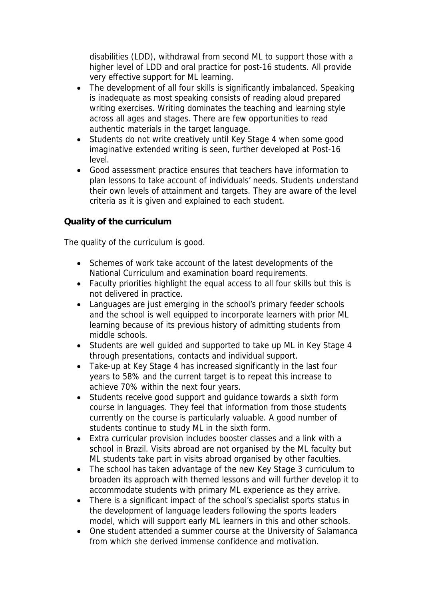disabilities (LDD), withdrawal from second ML to support those with a higher level of LDD and oral practice for post-16 students. All provide very effective support for ML learning.

- The development of all four skills is significantly imbalanced. Speaking is inadequate as most speaking consists of reading aloud prepared writing exercises. Writing dominates the teaching and learning style across all ages and stages. There are few opportunities to read authentic materials in the target language.
- Students do not write creatively until Key Stage 4 when some good imaginative extended writing is seen, further developed at Post-16 level.
- Good assessment practice ensures that teachers have information to plan lessons to take account of individuals' needs. Students understand their own levels of attainment and targets. They are aware of the level criteria as it is given and explained to each student.

## **Quality of the curriculum**

The quality of the curriculum is good.

- Schemes of work take account of the latest developments of the National Curriculum and examination board requirements.
- Faculty priorities highlight the equal access to all four skills but this is not delivered in practice.
- Languages are just emerging in the school's primary feeder schools and the school is well equipped to incorporate learners with prior ML learning because of its previous history of admitting students from middle schools.
- Students are well guided and supported to take up ML in Key Stage 4 through presentations, contacts and individual support.
- Take-up at Key Stage 4 has increased significantly in the last four years to 58% and the current target is to repeat this increase to achieve 70% within the next four years.
- Students receive good support and guidance towards a sixth form course in languages. They feel that information from those students currently on the course is particularly valuable. A good number of students continue to study ML in the sixth form.
- Extra curricular provision includes booster classes and a link with a school in Brazil. Visits abroad are not organised by the ML faculty but ML students take part in visits abroad organised by other faculties.
- The school has taken advantage of the new Key Stage 3 curriculum to broaden its approach with themed lessons and will further develop it to accommodate students with primary ML experience as they arrive.
- There is a significant impact of the school's specialist sports status in the development of language leaders following the sports leaders model, which will support early ML learners in this and other schools.
- One student attended a summer course at the University of Salamanca from which she derived immense confidence and motivation.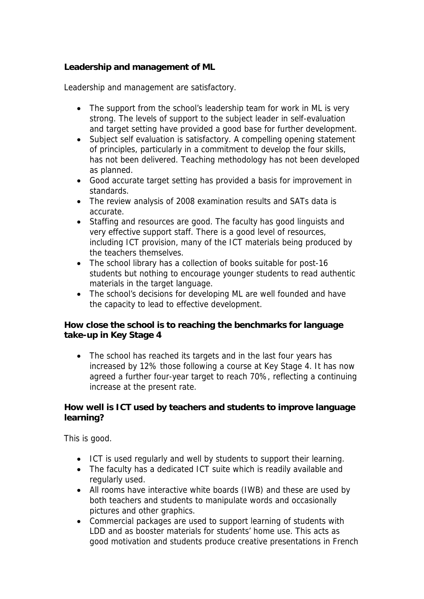**Leadership and management of ML**

Leadership and management are satisfactory.

- The support from the school's leadership team for work in ML is very strong. The levels of support to the subject leader in self-evaluation and target setting have provided a good base for further development.
- Subject self evaluation is satisfactory. A compelling opening statement of principles, particularly in a commitment to develop the four skills, has not been delivered. Teaching methodology has not been developed as planned.
- Good accurate target setting has provided a basis for improvement in standards.
- The review analysis of 2008 examination results and SATs data is accurate.
- Staffing and resources are good. The faculty has good linguists and very effective support staff. There is a good level of resources, including ICT provision, many of the ICT materials being produced by the teachers themselves.
- The school library has a collection of books suitable for post-16 students but nothing to encourage younger students to read authentic materials in the target language.
- The school's decisions for developing ML are well founded and have the capacity to lead to effective development.

**How close the school is to reaching the benchmarks for language take-up in Key Stage 4**

• The school has reached its targets and in the last four years has increased by 12% those following a course at Key Stage 4. It has now agreed a further four-year target to reach 70%, reflecting a continuing increase at the present rate.

**How well is ICT used by teachers and students to improve language learning?** 

This is good.

- ICT is used regularly and well by students to support their learning.
- The faculty has a dedicated ICT suite which is readily available and regularly used.
- All rooms have interactive white boards (IWB) and these are used by both teachers and students to manipulate words and occasionally pictures and other graphics.
- Commercial packages are used to support learning of students with LDD and as booster materials for students' home use. This acts as good motivation and students produce creative presentations in French